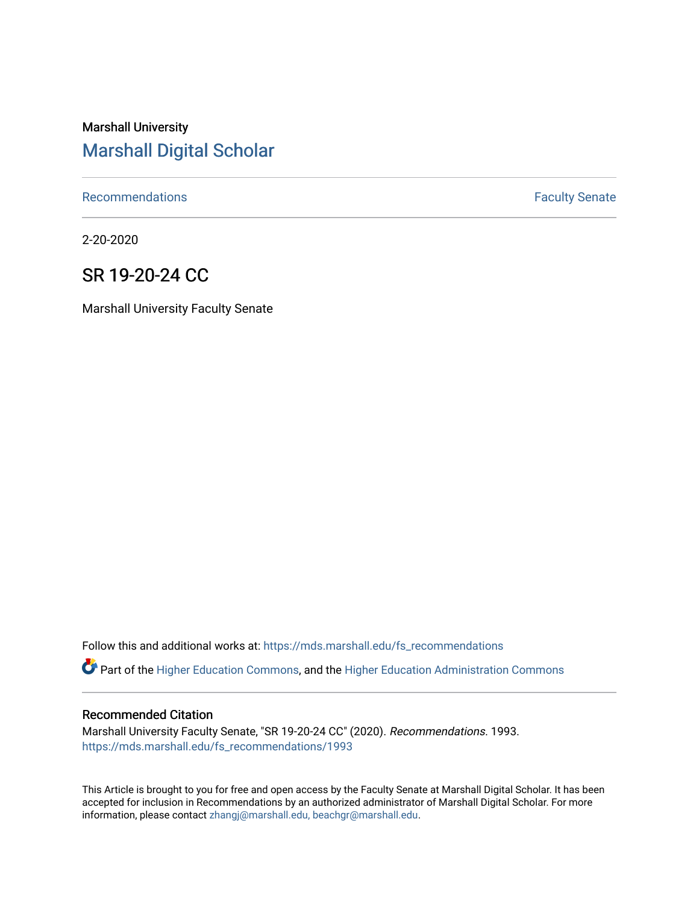# Marshall University [Marshall Digital Scholar](https://mds.marshall.edu/)

[Recommendations](https://mds.marshall.edu/fs_recommendations) **Faculty** Senate

2-20-2020

## SR 19-20-24 CC

Marshall University Faculty Senate

Follow this and additional works at: [https://mds.marshall.edu/fs\\_recommendations](https://mds.marshall.edu/fs_recommendations?utm_source=mds.marshall.edu%2Ffs_recommendations%2F1993&utm_medium=PDF&utm_campaign=PDFCoverPages)

Part of the [Higher Education Commons,](http://network.bepress.com/hgg/discipline/1245?utm_source=mds.marshall.edu%2Ffs_recommendations%2F1993&utm_medium=PDF&utm_campaign=PDFCoverPages) and the [Higher Education Administration Commons](http://network.bepress.com/hgg/discipline/791?utm_source=mds.marshall.edu%2Ffs_recommendations%2F1993&utm_medium=PDF&utm_campaign=PDFCoverPages) 

#### Recommended Citation

Marshall University Faculty Senate, "SR 19-20-24 CC" (2020). Recommendations. 1993. [https://mds.marshall.edu/fs\\_recommendations/1993](https://mds.marshall.edu/fs_recommendations/1993?utm_source=mds.marshall.edu%2Ffs_recommendations%2F1993&utm_medium=PDF&utm_campaign=PDFCoverPages) 

This Article is brought to you for free and open access by the Faculty Senate at Marshall Digital Scholar. It has been accepted for inclusion in Recommendations by an authorized administrator of Marshall Digital Scholar. For more information, please contact [zhangj@marshall.edu, beachgr@marshall.edu](mailto:zhangj@marshall.edu,%20beachgr@marshall.edu).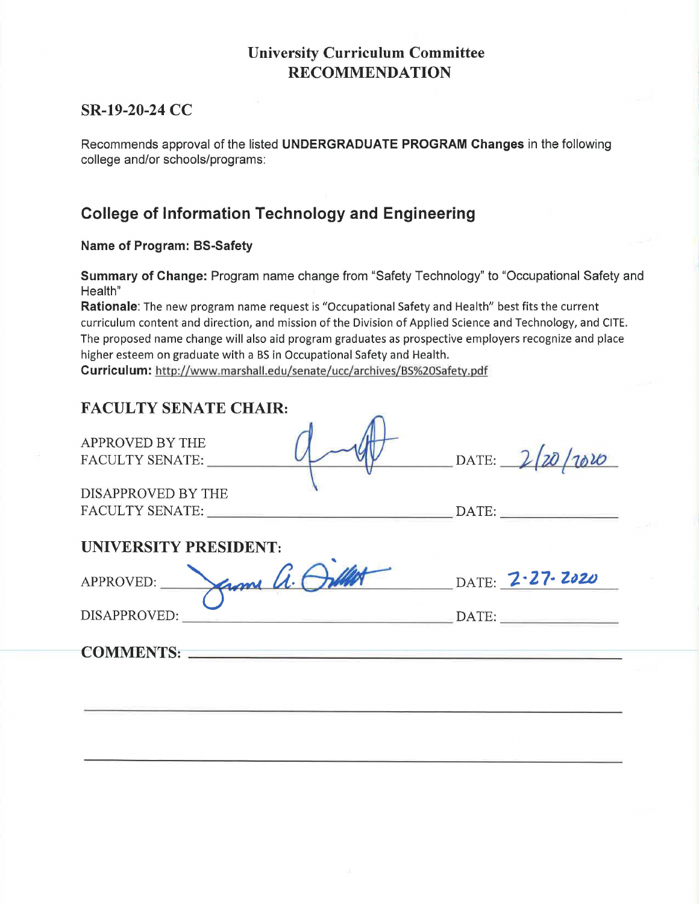### **University Curriculum Committee RECOMMENDATION**

#### **SR-19-20-24 CC**

Recommends approval of the listed **UNDERGRADUATE PROGRAM Changes** in the following college and/or schools/programs:

### **College of Information Technology and Engineering**

**Name of Program: BS-Safety** 

**Summary of Change:** Program name change from "Safety Technology" to "Occupational Safety and Health"

**Rationale:** The new program name request is "Occupational Safety and Health" best fits the current curriculum content and direction, and mission of the Division of Applied Science and Technology, and CITE. The proposed name change will also aid program graduates as prospective employers recognize and place higher esteem on graduate with a BS in Occupational Safety and Health.

**Curriculum:** http://www.marshall.edu/senate/ucc/archives/BS%20Safety.pdf

#### **FACULTY SENATE CHAIR:**

| APPROVED BY THE<br><b>FACULTY SENATE:</b> | DATE: | 1010 |
|-------------------------------------------|-------|------|
| DISAPPROVED BY THE                        |       |      |
| <b>FACULTY SENATE:</b>                    | DATE: |      |

 $\bigcap$ 

#### **UNIVERSITY PRESIDENT:**

| APPROVED:    | ame h |                             | DATE: <b>2-27-2020</b> |
|--------------|-------|-----------------------------|------------------------|
|              |       |                             |                        |
| DISAPPROVED: |       | $\Box$ $\Box$ $\Box$ $\Box$ |                        |

**COMMENTS: \_\_\_\_\_\_\_\_\_\_\_\_\_\_\_\_\_\_\_ \_**